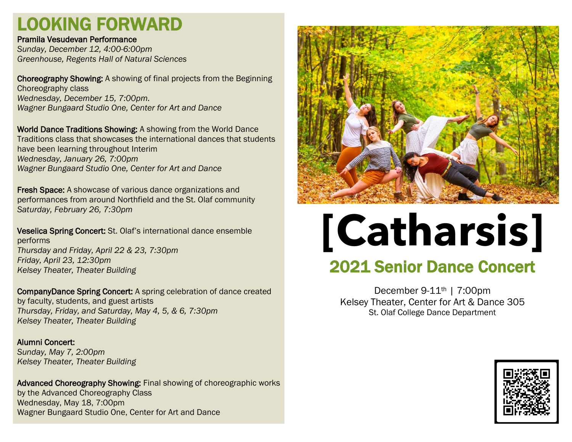# LOOKING FORWARD

#### Pramila Vesudevan Performance

*Sunday, December 12, 4:00-6:00pm Greenhouse, Regents Hall of Natural Sciences*

Choreography Showing: A showing of final projects from the Beginning Choreography class *Wednesday, December 15, 7:00pm. Wagner Bungaard Studio One, Center for Art and Dance*

World Dance Traditions Showing: A showing from the World Dance Traditions class that showcases the international dances that students have been learning throughout Interim *Wednesday, January 26, 7:00pm Wagner Bungaard Studio One, Center for Art and Dance*

Fresh Space: A showcase of various dance organizations and performances from around Northfield and the St. Olaf community *Saturday, February 26, 7:30pm*

Veselica Spring Concert: St. Olaf's international dance ensemble performs *Thursday and Friday, April 22 & 23, 7:30pm Friday, April 23, 12:30pm Kelsey Theater, Theater Building*

CompanyDance Spring Concert: A spring celebration of dance created by faculty, students, and guest artists *Thursday, Friday, and Saturday, May 4, 5, & 6, 7:30pm Kelsey Theater, Theater Building*

Alumni Concert: *Sunday, May 7, 2:00pm Kelsey Theater, Theater Building*

Advanced Choreography Showing: Final showing of choreographic works by the Advanced Choreography Class Wednesday, May 18, 7:00pm Wagner Bungaard Studio One, Center for Art and Dance



# **[Catharsis]**

# 2021 Senior Dance Concert

December 9-11th | 7:00pm Kelsey Theater, Center for Art & Dance 305 St. Olaf College Dance Department

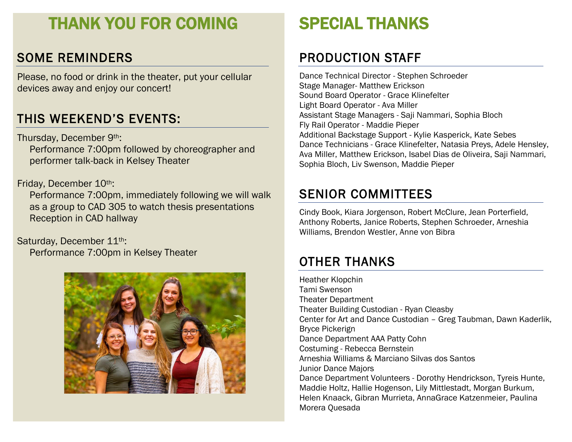# THANK YOU FOR COMING

## SOME REMINDERS

Please, no food or drink in the theater, put your cellular devices away and enjoy our concert!

# THIS WEEKEND'S EVENTS:

Thursday, December 9th: Performance 7:00pm followed by choreographer and performer talk-back in Kelsey Theater

#### Friday, December 10th:

Performance 7:00pm, immediately following we will walk as a group to CAD 305 to watch thesis presentations Reception in CAD hallway

Saturday, December 11<sup>th</sup>:

Performance 7:00pm in Kelsey Theater



# SPECIAL THANKS

## PRODUCTION STAFF

Dance Technical Director - Stephen Schroeder Stage Manager- Matthew Erickson Sound Board Operator - Grace Klinefelter Light Board Operator - Ava Miller Assistant Stage Managers - Saji Nammari, Sophia Bloch Fly Rail Operator - Maddie Pieper Additional Backstage Support - Kylie Kasperick, Kate Sebes Dance Technicians - Grace Klinefelter, Natasia Preys, Adele Hensley, Ava Miller, Matthew Erickson, Isabel Dias de Oliveira, Saji Nammari, Sophia Bloch, Liv Swenson, Maddie Pieper

## SENIOR COMMITTEES

Cindy Book, Kiara Jorgenson, Robert McClure, Jean Porterfield, Anthony Roberts, Janice Roberts, Stephen Schroeder, Arneshia Williams, Brendon Westler, Anne von Bibra

# OTHER THANKS

Heather Klopchin Tami Swenson Theater Department Theater Building Custodian - Ryan Cleasby Center for Art and Dance Custodian – Greg Taubman, Dawn Kaderlik, Bryce Pickerign Dance Department AAA Patty Cohn Costuming - Rebecca Bernstein Arneshia Williams & Marciano Silvas dos Santos Junior Dance Majors Dance Department Volunteers - Dorothy Hendrickson, Tyreis Hunte, Maddie Holtz, Hallie Hogenson, Lily Mittlestadt, Morgan Burkum, Helen Knaack, Gibran Murrieta, AnnaGrace Katzenmeier, Paulina Morera Quesada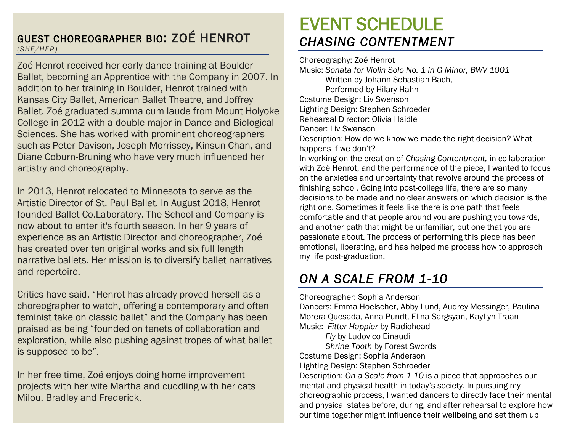#### GUEST CHOREOGRAPHER BIO: ZOÉ HENROT *(SHE/HER)*

Zoé Henrot received her early dance training at Boulder Ballet, becoming an Apprentice with the Company in 2007. In addition to her training in Boulder, Henrot trained with Kansas City Ballet, American Ballet Theatre, and Joffrey Ballet. Zoé graduated summa cum laude from Mount Holyoke College in 2012 with a double major in Dance and Biological Sciences. She has worked with prominent choreographers such as Peter Davison, Joseph Morrissey, Kinsun Chan, and Diane Coburn-Bruning who have very much influenced her artistry and choreography.

In 2013, Henrot relocated to Minnesota to serve as the Artistic Director of St. Paul Ballet. In August 2018, Henrot founded Ballet Co.Laboratory. The School and Company is now about to enter it's fourth season. In her 9 years of experience as an Artistic Director and choreographer, Zoé has created over ten original works and six full length narrative ballets. Her mission is to diversify ballet narratives and repertoire.

Critics have said, "Henrot has already proved herself as a choreographer to watch, offering a contemporary and often feminist take on classic ballet" and the Company has been praised as being "founded on tenets of collaboration and exploration, while also pushing against tropes of what ballet is supposed to be".

In her free time, Zoé enjoys doing home improvement projects with her wife Martha and cuddling with her cats Milou, Bradley and Frederick.

# EVENT SCHEDULE *CHASING CONTENTMENT*

Choreography: Zoé Henrot Music: *Sonata for Violin Solo No. 1 in G Minor, BWV 1001* Written by Johann Sebastian Bach, Performed by Hilary Hahn Costume Design: Liv Swenson Lighting Design: Stephen Schroeder Rehearsal Director: Olivia Haidle Dancer: Liv Swenson Description: How do we know we made the right decision? What happens if we don't? In working on the creation of *Chasing Contentment,* in collaboration with Zoé Henrot, and the performance of the piece, I wanted to focus on the anxieties and uncertainty that revolve around the process of finishing school. Going into post-college life, there are so many decisions to be made and no clear answers on which decision is the right one. Sometimes it feels like there is one path that feels comfortable and that people around you are pushing you towards, and another path that might be unfamiliar, but one that you are passionate about. The process of performing this piece has been emotional, liberating, and has helped me process how to approach my life post-graduation.

# *ON A SCALE FROM 1-10*

Choreographer: Sophia Anderson Dancers: Emma Hoelscher, Abby Lund, Audrey Messinger, Paulina Morera-Quesada, Anna Pundt, Elina Sargsyan, KayLyn Traan Music: *Fitter Happier* by Radiohead *Fly* by Ludovico Einaudi *Shrine Tooth* by Forest Swords Costume Design: Sophia Anderson Lighting Design: Stephen Schroeder Description: *On a Scale from 1-10* is a piece that approaches our mental and physical health in today's society. In pursuing my choreographic process, I wanted dancers to directly face their mental and physical states before, during, and after rehearsal to explore how our time together might influence their wellbeing and set them up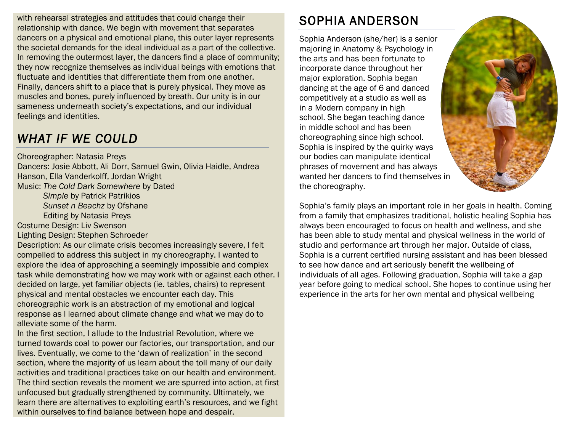with rehearsal strategies and attitudes that could change their relationship with dance. We begin with movement that separates dancers on a physical and emotional plane, this outer layer represents the societal demands for the ideal individual as a part of the collective. In removing the outermost layer, the dancers find a place of community; they now recognize themselves as individual beings with emotions that fluctuate and identities that differentiate them from one another. Finally, dancers shift to a place that is purely physical. They move as muscles and bones, purely influenced by breath. Our unity is in our sameness underneath society's expectations, and our individual feelings and identities.

## *WHAT IF WE COULD*

Choreographer: Natasia Preys Dancers: Josie Abbott, Ali Dorr, Samuel Gwin, Olivia Haidle, Andrea Hanson, Ella Vanderkolff, Jordan Wright Music: *The Cold Dark Somewhere* by Dated

*Simple* by Patrick Patrikios

*Sunset n Beachz* by Ofshane

Editing by Natasia Preys

Costume Design: Liv Swenson

Lighting Design: Stephen Schroeder

Description: As our climate crisis becomes increasingly severe, I felt compelled to address this subject in my choreography. I wanted to explore the idea of approaching a seemingly impossible and complex task while demonstrating how we may work with or against each other. I decided on large, yet familiar objects (ie. tables, chairs) to represent physical and mental obstacles we encounter each day. This choreographic work is an abstraction of my emotional and logical response as I learned about climate change and what we may do to alleviate some of the harm.

In the first section, I allude to the Industrial Revolution, where we turned towards coal to power our factories, our transportation, and our lives. Eventually, we come to the 'dawn of realization' in the second section, where the majority of us learn about the toll many of our daily activities and traditional practices take on our health and environment. The third section reveals the moment we are spurred into action, at first unfocused but gradually strengthened by community. Ultimately, we learn there are alternatives to exploiting earth's resources, and we fight within ourselves to find balance between hope and despair.

# SOPHIA ANDERSON

Sophia Anderson (she/her) is a senior majoring in Anatomy & Psychology in the arts and has been fortunate to incorporate dance throughout her major exploration. Sophia began dancing at the age of 6 and danced competitively at a studio as well as in a Modern company in high school. She began teaching dance in middle school and has been choreographing since high school. Sophia is inspired by the quirky ways our bodies can manipulate identical phrases of movement and has always wanted her dancers to find themselves in the choreography.



Sophia's family plays an important role in her goals in health. Coming from a family that emphasizes traditional, holistic healing Sophia has always been encouraged to focus on health and wellness, and she has been able to study mental and physical wellness in the world of studio and performance art through her major. Outside of class, Sophia is a current certified nursing assistant and has been blessed to see how dance and art seriously benefit the wellbeing of individuals of all ages. Following graduation, Sophia will take a gap year before going to medical school. She hopes to continue using her experience in the arts for her own mental and physical wellbeing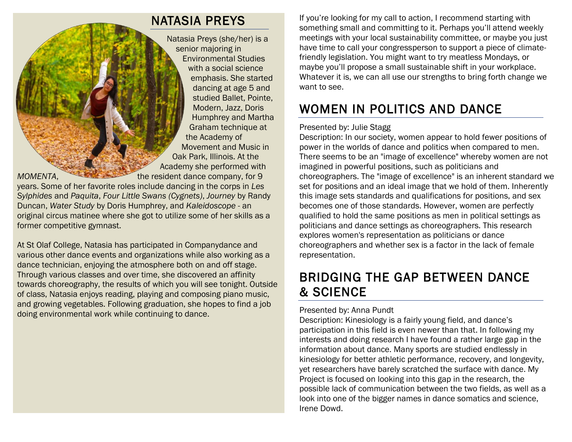#### NATASIA PREYS

Natasia Preys (she/her) is a senior majoring in Environmental Studies with a social science emphasis. She started dancing at age 5 and studied Ballet, Pointe, Modern, Jazz, Doris Humphrey and Martha Graham technique at the Academy of Movement and Music in Oak Park, Illinois. At the Academy she performed with

*MOMENTA*, the resident dance company, for 9 years. Some of her favorite roles include dancing in the corps in *Les Sylphides* and *Paquita*, *Four Little Swans (Cygnets)*, *Journey* by Randy Duncan, *Water Study* by Doris Humphrey, and *Kaleidoscope* - an original circus matinee where she got to utilize some of her skills as a former competitive gymnast.

At St Olaf College, Natasia has participated in Companydance and various other dance events and organizations while also working as a dance technician, enjoying the atmosphere both on and off stage. Through various classes and over time, she discovered an affinity towards choreography, the results of which you will see tonight. Outside of class, Natasia enjoys reading, playing and composing piano music, and growing vegetables. Following graduation, she hopes to find a job doing environmental work while continuing to dance.

If you're looking for my call to action, I recommend starting with something small and committing to it. Perhaps you'll attend weekly meetings with your local sustainability committee, or maybe you just have time to call your congressperson to support a piece of climatefriendly legislation. You might want to try meatless Mondays, or maybe you'll propose a small sustainable shift in your workplace. Whatever it is, we can all use our strengths to bring forth change we want to see.

# WOMEN IN POLITICS AND DANCE

#### Presented by: Julie Stagg

Description: In our society, women appear to hold fewer positions of power in the worlds of dance and politics when compared to men. There seems to be an "image of excellence" whereby women are not imagined in powerful positions, such as politicians and choreographers. The "image of excellence" is an inherent standard we set for positions and an ideal image that we hold of them. Inherently this image sets standards and qualifications for positions, and sex becomes one of those standards. However, women are perfectly qualified to hold the same positions as men in political settings as politicians and dance settings as choreographers. This research explores women's representation as politicians or dance choreographers and whether sex is a factor in the lack of female representation.

## BRIDGING THE GAP BETWEEN DANCE & SCIENCE

#### Presented by: Anna Pundt

Description: Kinesiology is a fairly young field, and dance's participation in this field is even newer than that. In following my interests and doing research I have found a rather large gap in the information about dance. Many sports are studied endlessly in kinesiology for better athletic performance, recovery, and longevity, yet researchers have barely scratched the surface with dance. My Project is focused on looking into this gap in the research, the possible lack of communication between the two fields, as well as a look into one of the bigger names in dance somatics and science, Irene Dowd.